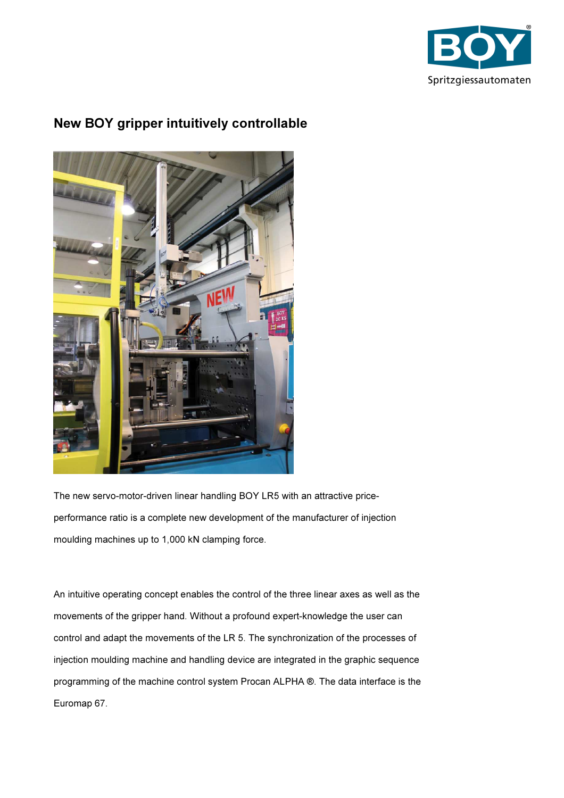

## New BOY gripper intuitively controllable



The new servo-motor-driven linear handling BOY LR5 with an attractive priceperformance ratio is a complete new development of the manufacturer of injection moulding machines up to 1,000 kN clamping force.

An intuitive operating concept enables the control of the three linear axes as well as the movements of the gripper hand. Without a profound expert-knowledge the user can control and adapt the movements of the LR 5. The synchronization of the processes of injection moulding machine and handling device are integrated in the graphic sequence programming of the machine control system Procan ALPHA ®. The data interface is the Euromap 67.